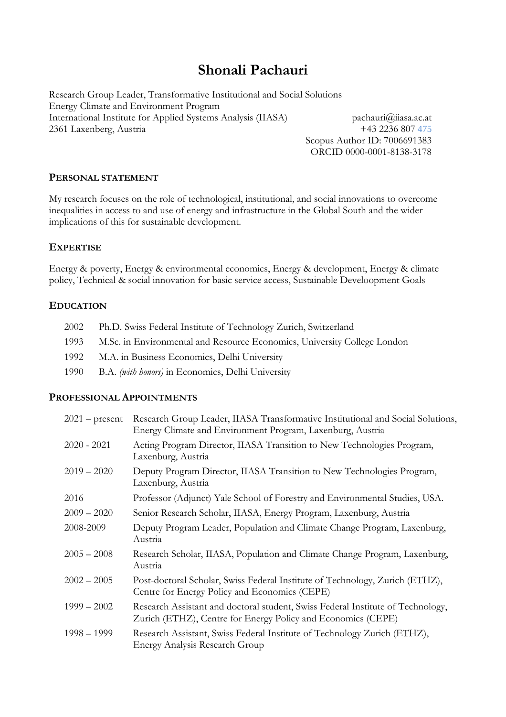# **Shonali Pachauri**

Research Group Leader, Transformative Institutional and Social Solutions Energy Climate and Environment Program International Institute for Applied Systems Analysis (IIASA) [pachauri@](mailto:pachauri)iiasa.ac.at 2361 Laxenberg, Austria +43 2236 807 475

Scopus Author ID: 7006691383 ORCID 0000-0001-8138-3178

#### **PERSONAL STATEMENT**

My research focuses on the role of technological, institutional, and social innovations to overcome inequalities in access to and use of energy and infrastructure in the Global South and the wider implications of this for sustainable development.

# **EXPERTISE**

Energy & poverty, Energy & environmental economics, Energy & development, Energy & climate policy, Technical & social innovation for basic service access, Sustainable Develoopment Goals

#### **EDUCATION**

| 2002 | Ph.D. Swiss Federal Institute of Technology Zurich, Switzerland          |
|------|--------------------------------------------------------------------------|
| 1993 | M.Sc. in Environmental and Resource Economics, University College London |
| 1992 | M.A. in Business Economics, Delhi University                             |
| 1990 | B.A. (with honors) in Economics, Delhi University                        |

#### **PROFESSIONAL APPOINTMENTS**

| $2021$ – present | Research Group Leader, IIASA Transformative Institutional and Social Solutions,<br>Energy Climate and Environment Program, Laxenburg, Austria   |
|------------------|-------------------------------------------------------------------------------------------------------------------------------------------------|
| $2020 - 2021$    | Acting Program Director, IIASA Transition to New Technologies Program,<br>Laxenburg, Austria                                                    |
| $2019 - 2020$    | Deputy Program Director, IIASA Transition to New Technologies Program,<br>Laxenburg, Austria                                                    |
| 2016             | Professor (Adjunct) Yale School of Forestry and Environmental Studies, USA.                                                                     |
| $2009 - 2020$    | Senior Research Scholar, IIASA, Energy Program, Laxenburg, Austria                                                                              |
| 2008-2009        | Deputy Program Leader, Population and Climate Change Program, Laxenburg,<br>Austria                                                             |
| $2005 - 2008$    | Research Scholar, IIASA, Population and Climate Change Program, Laxenburg,<br>Austria                                                           |
| $2002 - 2005$    | Post-doctoral Scholar, Swiss Federal Institute of Technology, Zurich (ETHZ),<br>Centre for Energy Policy and Economics (CEPE)                   |
| $1999 - 2002$    | Research Assistant and doctoral student, Swiss Federal Institute of Technology,<br>Zurich (ETHZ), Centre for Energy Policy and Economics (CEPE) |
| $1998 - 1999$    | Research Assistant, Swiss Federal Institute of Technology Zurich (ETHZ),<br><b>Energy Analysis Research Group</b>                               |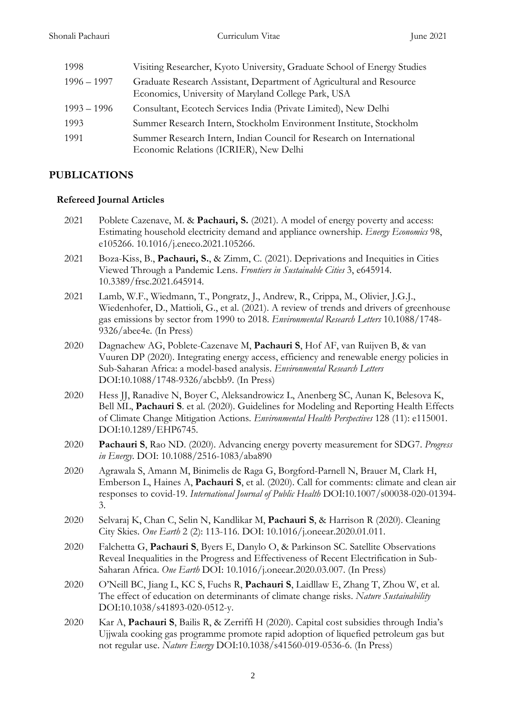| 1998          | Visiting Researcher, Kyoto University, Graduate School of Energy Studies                                                    |
|---------------|-----------------------------------------------------------------------------------------------------------------------------|
| $1996 - 1997$ | Graduate Research Assistant, Department of Agricultural and Resource<br>Economics, University of Maryland College Park, USA |
| $1993 - 1996$ | Consultant, Ecotech Services India (Private Limited), New Delhi                                                             |
| 1993          | Summer Research Intern, Stockholm Environment Institute, Stockholm                                                          |
| 1991          | Summer Research Intern, Indian Council for Research on International<br>Economic Relations (ICRIER), New Delhi              |

# **PUBLICATIONS**

#### **Refereed Journal Articles**

- 2021 Poblete Cazenave, M. & **Pachauri, S.** (2021). A model of energy poverty and access: Estimating household electricity demand and appliance ownership. *Energy Economics* 98, e105266. 10.1016/j.eneco.2021.105266.
- 2021 Boza-Kiss, B., **Pachauri, S.**, & Zimm, C. (2021). Deprivations and Inequities in Cities Viewed Through a Pandemic Lens. *Frontiers in Sustainable Cities* 3, e645914. 10.3389/frsc.2021.645914.
- 2021 Lamb, W.F., Wiedmann, T., Pongratz, J., Andrew, R., Crippa, M., Olivier, J.G.J., Wiedenhofer, D., Mattioli, G., et al. (2021). A review of trends and drivers of greenhouse gas emissions by sector from 1990 to 2018. *Environmental Research Letters* 10.1088/1748- 9326/abee4e. (In Press)
- 2020 Dagnachew AG, Poblete-Cazenave M, **Pachauri S**, Hof AF, van Ruijven B, & van Vuuren DP (2020). Integrating energy access, efficiency and renewable energy policies in Sub-Saharan Africa: a model-based analysis. *Environmental Research Letters* DOI:10.1088/1748-9326/abcbb9. (In Press)
- 2020 Hess JJ, Ranadive N, Boyer C, Aleksandrowicz L, Anenberg SC, Aunan K, Belesova K, Bell ML, **Pachauri S**. et al. (2020). Guidelines for Modeling and Reporting Health Effects of Climate Change Mitigation Actions*. Environmental Health Perspectives* 128 (11): e115001. DOI:10.1289/EHP6745.
- 2020 **Pachauri S**, Rao ND. (2020). Advancing energy poverty measurement for SDG7. *Progress in Energy*. DOI: 10.1088/2516-1083/aba890
- 2020 Agrawala S, Amann M, Binimelis de Raga G, Borgford-Parnell N, Brauer M, Clark H, Emberson L, Haines A, **Pachauri S**, et al. (2020). Call for comments: climate and clean air responses to covid-19. *International Journal of Public Health* DOI:10.1007/s00038-020-01394- 3.
- 2020 Selvaraj K, Chan C, Selin N, Kandlikar M, **Pachauri S**, & Harrison R (2020). Cleaning City Skies. *One Earth* 2 (2): 113-116. DOI: 10.1016/j.oneear.2020.01.011.
- 2020 Falchetta G, **Pachauri S**, Byers E, Danylo O, & Parkinson SC. Satellite Observations Reveal Inequalities in the Progress and Effectiveness of Recent Electrification in Sub-Saharan Africa. *One Earth* DOI: 10.1016/j.oneear.2020.03.007. (In Press)
- 2020 O'Neill BC, Jiang L, KC S, Fuchs R, **Pachauri S**, Laidllaw E, Zhang T, Zhou W, et al. The effect of education on determinants of climate change risks. *Nature Sustainability* DOI:10.1038/s41893-020-0512-y.
- 2020 Kar A, **Pachauri S**, Bailis R, & Zerriffi H (2020). Capital cost subsidies through India's Ujjwala cooking gas programme promote rapid adoption of liquefied petroleum gas but not regular use. *Nature Energy* DOI:10.1038/s41560-019-0536-6. (In Press)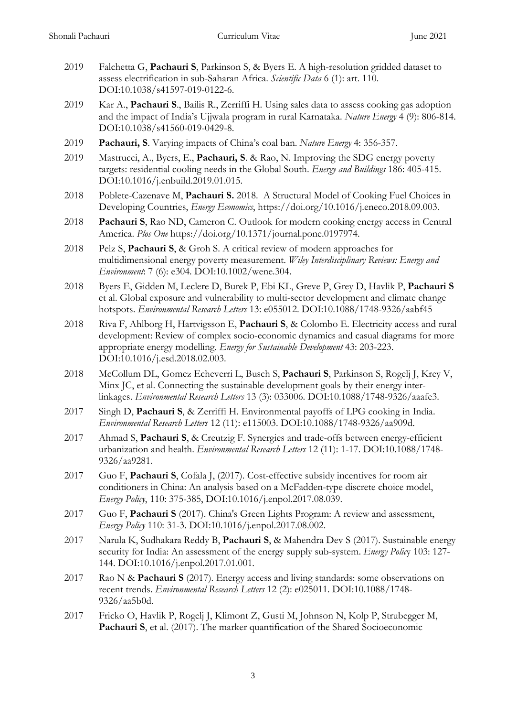- 2019 Falchetta G, **Pachauri S**, Parkinson S, & Byers E. A high-resolution gridded dataset to assess electrification in sub-Saharan Africa. *Scientific Data* 6 (1): art. 110. DOI:10.1038/s41597-019-0122-6.
- 2019 Kar A., **Pachauri S**., Bailis R., Zerriffi H. Using sales data to assess cooking gas adoption and the impact of India's Ujjwala program in rural Karnataka. *Nature Energy* 4 (9): 806-814. DOI:10.1038/s41560-019-0429-8.
- 2019 **Pachauri, S**. Varying impacts of China's coal ban. *Nature Energy* 4: 356-357.
- 2019 Mastrucci, A., Byers, E., **Pachauri, S**. & Rao, N. Improving the SDG energy poverty targets: residential cooling needs in the Global South. *Energy and Buildings* 186: 405-415. DOI:10.1016/j.enbuild.2019.01.015.
- 2018 Poblete-Cazenave M, **Pachauri S.** 2018. A Structural Model of Cooking Fuel Choices in Developing Countries, *Energy Economics*, https://doi.org/10.1016/j.eneco.2018.09.003.
- 2018 **Pachauri S**, Rao ND, Cameron C. Outlook for modern cooking energy access in Central America. *Plos One* https://doi.org/10.1371/journal.pone.0197974.
- 2018 Pelz S, **Pachauri S**, & Groh S. A critical review of modern approaches for multidimensional energy poverty measurement. *Wiley Interdisciplinary Reviews: Energy and Environment*: 7 (6): e304. DOI:10.1002/wene.304.
- 2018 Byers E, Gidden M, Leclere D, Burek P, Ebi KL, Greve P, Grey D, Havlik P, **Pachauri S** et al. Global exposure and vulnerability to multi-sector development and climate change hotspots. *Environmental Research Letters* 13: e055012. DOI:10.1088/1748-9326/aabf45
- 2018 Riva F, Ahlborg H, Hartvigsson E, **Pachauri S**, & Colombo E. Electricity access and rural development: Review of complex socio-economic dynamics and casual diagrams for more appropriate energy modelling. *Energy for Sustainable Development* 43: 203-223. DOI:10.1016/j.esd.2018.02.003.
- 2018 McCollum DL, Gomez Echeverri L, Busch S, **Pachauri S**, Parkinson S, Rogelj J, Krey V, Minx JC, et al. Connecting the sustainable development goals by their energy interlinkages. *Environmental Research Letters* 13 (3): 033006. DOI:10.1088/1748-9326/aaafe3.
- 2017 Singh D, **Pachauri S**, & Zerriffi H. Environmental payoffs of LPG cooking in India. *Environmental Research Letters* 12 (11): e115003. DOI:10.1088/1748-9326/aa909d.
- 2017 Ahmad S, **Pachauri S**, & Creutzig F. Synergies and trade-offs between energy-efficient urbanization and health. *Environmental Research Letters* 12 (11): 1-17. DOI:10.1088/1748- 9326/aa9281.
- 2017 Guo F, **Pachauri S**, Cofala J, (2017). Cost-effective subsidy incentives for room air conditioners in China: An analysis based on a McFadden-type discrete choice model, *Energy Policy*, 110: 375-385, DOI:10.1016/j.enpol.2017.08.039.
- 2017 Guo F, **Pachauri S** (2017). China's Green Lights Program: A review and assessment, *Energy Policy* 110: 31-3. DOI:10.1016/j.enpol.2017.08.002.
- 2017 Narula K, Sudhakara Reddy B, **Pachauri S**, & Mahendra Dev S (2017). Sustainable energy security for India: An assessment of the energy supply sub-system. *Energy Polic*y 103: 127- 144. DOI:10.1016/j.enpol.2017.01.001.
- 2017 Rao N & **Pachauri S** (2017). Energy access and living standards: some observations on recent trends. *Environmental Research Letters* 12 (2): e025011. DOI:10.1088/1748- 9326/aa5b0d.
- 2017 Fricko O, Havlik P, Rogelj J, Klimont Z, Gusti M, Johnson N, Kolp P, Strubegger M, **Pachauri S**, et al. (2017). The marker quantification of the Shared Socioeconomic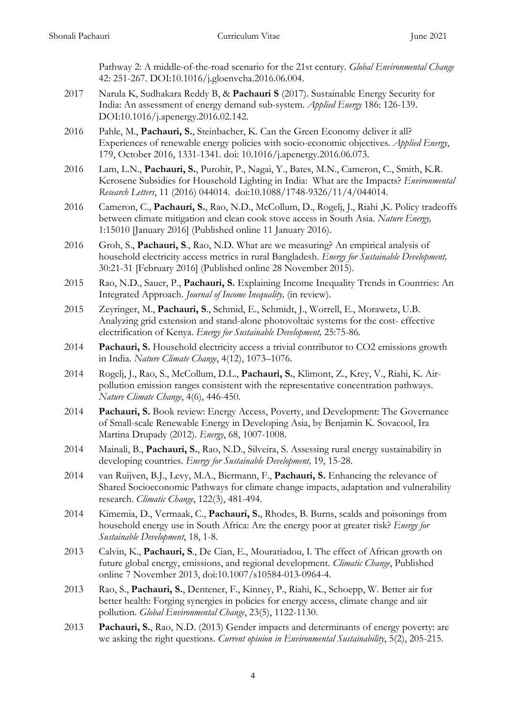Pathway 2: A middle-of-the-road scenario for the 21st century. *Global Environmental Change* 42: 251-267. DOI:10.1016/j.gloenvcha.2016.06.004.

- 2017 Narula K, Sudhakara Reddy B, & **Pachauri S** (2017). Sustainable Energy Security for India: An assessment of energy demand sub-system. *Applied Energy* 186: 126-139. DOI:10.1016/j.apenergy.2016.02.142.
- 2016 Pahle, M., **Pachauri, S.**, Steinbacher, K. Can the Green Economy deliver it all? Experiences of renewable energy policies with socio-economic objectives. *Applied Energy*, 179, October 2016, 1331-1341. doi: 10.1016/j.apenergy.2016.06.073.
- 2016 Lam, L.N., **Pachauri, S.**, Purohit, P., Nagai, Y., Bates, M.N., Cameron, C., Smith, K.R. Kerosene Subsidies for Household Lighting in India: What are the Impacts? *Environmental Research Letters*, 11 (2016) 044014. doi:10.1088/1748-9326/11/4/044014.
- 2016 Cameron, C., **Pachauri, S.**, Rao, N.D., McCollum, D., Rogelj, J., Riahi ,K. Policy tradeoffs between climate mitigation and clean cook stove access in South Asia. *Nature Energy,* 1:15010 [January 2016] (Published online 11 January 2016).
- 2016 Groh, S., **Pachauri, S**., Rao, N.D. What are we measuring? An empirical analysis of household electricity access metrics in rural Bangladesh. *Energy for Sustainable Development,* 30:21-31 [February 2016] (Published online 28 November 2015)*.*
- 2015 Rao, N.D., Sauer, P., **Pachauri, S.** Explaining Income Inequality Trends in Countries: An Integrated Approach. *Journal of Income Inequality,* (in review).
- 2015 Zeyringer, M., **Pachauri, S**., Schmid, E., Schmidt, J., Worrell, E., Morawetz, U.B. Analyzing grid extension and stand-alone photovoltaic systems for the cost- effective electrification of Kenya. *Energy for Sustainable Development,* 25:75-86*.*
- 2014 **Pachauri, S.** Household electricity access a trivial contributor to CO2 emissions growth in India. *Nature Climate Change*, 4(12), 1073–1076.
- 2014 Rogelj, J., Rao, S., McCollum, D.L., **Pachauri, S.**, Klimont, Z., Krey, V., Riahi, K. Airpollution emission ranges consistent with the representative concentration pathways. *Nature Climate Change*, 4(6), 446-450.
- 2014 **Pachauri, S.** Book review: Energy Access, Poverty, and Development: The Governance of Small-scale Renewable Energy in Developing Asia, by Benjamin K. Sovacool, Ira Martina Drupady (2012). *Energy*, 68, 1007-1008.
- 2014 Mainali, B., **Pachauri, S.**, Rao, N.D., Silveira, S. Assessing rural energy sustainability in developing countries. *Energy for Sustainable Development,* 19, 15-28.
- 2014 van Ruijven, B.J., Levy, M.A., Biermann, F., **Pachauri, S.** Enhancing the relevance of Shared Socioeconomic Pathways for climate change impacts, adaptation and vulnerability research. *Climatic Change*, 122(3), 481-494.
- 2014 Kimemia, D., Vermaak, C., **Pachauri, S.**, Rhodes, B. Burns, scalds and poisonings from household energy use in South Africa: Are the energy poor at greater risk? *Energy for Sustainable Development*, 18, 1-8.
- 2013 Calvin, K., **Pachauri, S**., De Cian, E., Mouratiadou, I. The effect of African growth on future global energy, emissions, and regional development. *Climatic Change*, Published online 7 November 2013, doi:10.1007/s10584-013-0964-4.
- 2013 Rao, S., **Pachauri, S.**, Dentener, F., Kinney, P., Riahi, K., Schoepp, W. Better air for better health: Forging synergies in policies for energy access, climate change and air pollution. *Global Environmental Change*, 23(5), 1122-1130.
- 2013 **Pachauri, S.**, Rao, N.D. (2013) Gender impacts and determinants of energy poverty: are we asking the right questions. *Current opinion in Environmental Sustainability*, 5(2), 205-215.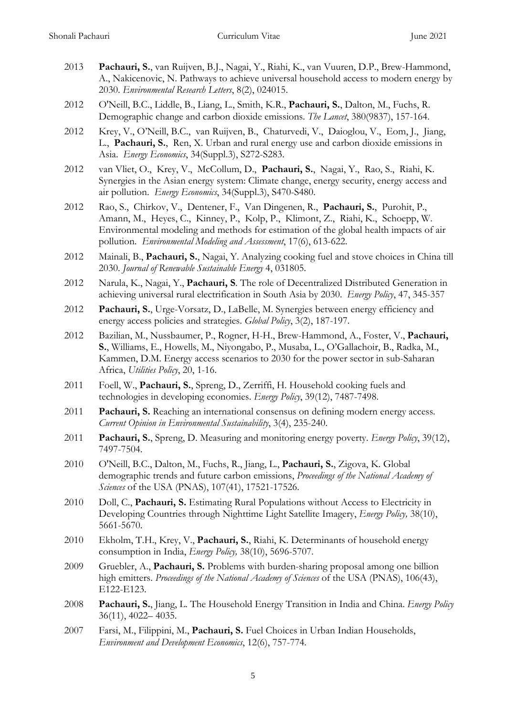- 2013 **Pachauri, S.**, van Ruijven, B.J., Nagai, Y., Riahi, K., van Vuuren, D.P., Brew-Hammond, A., Nakicenovic, N. Pathways to achieve universal household access to modern energy by 2030. *Environmental Research Letters*, 8(2), 024015.
- 2012 O'Neill, B.C., Liddle, B., Liang, L., Smith, K.R., **Pachauri, S.**, Dalton, M., Fuchs, R. Demographic change and carbon dioxide emissions. *The Lancet*, 380(9837), 157-164.
- 2012 Krey, V., O'Neill, B.C., van Ruijven, B., Chaturvedi, V., Daioglou, V., Eom, J., Jiang, L., **Pachauri, S.**, Ren, X. Urban and rural energy use and carbon dioxide emissions in Asia. *Energy Economics*, 34(Suppl.3), S272-S283.
- 2012 van Vliet, O., Krey, V., McCollum, D., **Pachauri, S.**, Nagai, Y., Rao, S., Riahi, K. Synergies in the Asian energy system: Climate change, energy security, energy access and air pollution. *Energy Economics*, 34(Suppl.3), S470-S480.
- 2012 Rao, S., Chirkov, V., Dentener, F., Van Dingenen, R., **Pachauri, S.**, Purohit, P., Amann, M., Heyes, C., Kinney, P., Kolp, P., Klimont, Z., Riahi, K., Schoepp, W. Environmental modeling and methods for estimation of the global health impacts of air pollution. *Environmental Modeling and Assessment*, 17(6), 613-622.
- 2012 Mainali, B., **Pachauri, S.**, Nagai, Y. Analyzing cooking fuel and stove choices in China till 2030. *Journal of Renewable Sustainable Energy* 4, 031805.
- 2012 Narula, K., Nagai, Y., **Pachauri, S**. The role of Decentralized Distributed Generation in achieving universal rural electrification in South Asia by 2030. *Energy Policy*, 47, 345-357
- 2012 **Pachauri, S.**, Urge-Vorsatz, D., LaBelle, M. Synergies between energy efficiency and energy access policies and strategies. *Global Policy*, 3(2), 187-197.
- 2012 Bazilian, M., Nussbaumer, P., Rogner, H-H., Brew-Hammond, A., Foster, V., **Pachauri, S.**, Williams, E., Howells, M., Niyongabo, P., Musaba, L., O'Gallachoir, B., Radka, M., Kammen, D.M. Energy access scenarios to 2030 for the power sector in sub-Saharan Africa, *Utilities Policy*, 20, 1-16.
- 2011 Foell, W., **Pachauri, S.**, Spreng, D., Zerriffi, H. Household cooking fuels and technologies in developing economies. *Energy Policy*, 39(12), 7487-7498.
- 2011 **Pachauri, S.** Reaching an international consensus on defining modern energy access. *Current Opinion in Environmental Sustainability*, 3(4), 235-240.
- 2011 **Pachauri, S.**, Spreng, D. Measuring and monitoring energy poverty. *Energy Policy*, 39(12), 7497-7504.
- 2010 O'Neill, B.C., Dalton, M., Fuchs, R., Jiang, L., **Pachauri, S.**, Zigova, K. Global demographic trends and future carbon emissions, *Proceedings of the National Academy of Sciences* of the USA (PNAS), 107(41), 17521-17526.
- 2010 Doll, C., **Pachauri, S.** Estimating Rural Populations without Access to Electricity in Developing Countries through Nighttime Light Satellite Imagery, *Energy Policy,* 38(10), 5661-5670.
- 2010 Ekholm, T.H., Krey, V., **Pachauri, S.**, Riahi, K. Determinants of household energy consumption in India, *Energy Policy,* 38(10), 5696-5707.
- 2009 Gruebler, A., **Pachauri, S.** Problems with burden-sharing proposal among one billion high emitters. *Proceedings of the National Academy of Sciences* of the USA (PNAS), 106(43), E122-E123.
- 2008 **Pachauri, S.**, Jiang, L. The Household Energy Transition in India and China. *Energy Policy* 36(11), 4022– 4035.
- 2007 Farsi, M., Filippini, M., **Pachauri, S.** Fuel Choices in Urban Indian Households, *Environment and Development Economics*, 12(6), 757-774.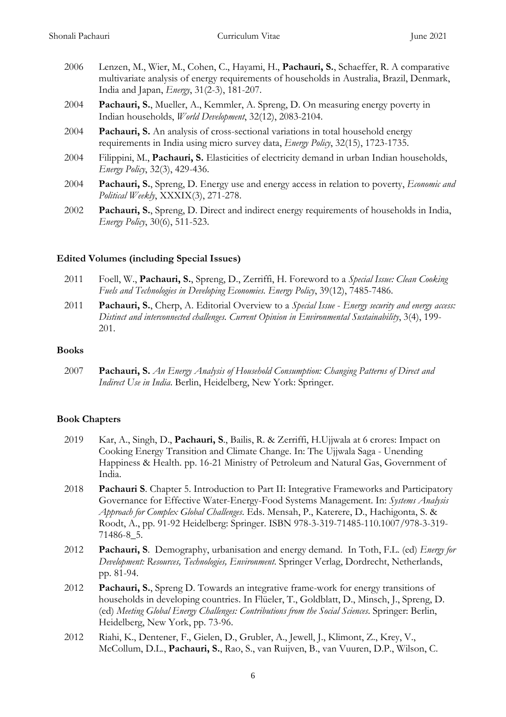- 2006 Lenzen, M., Wier, M., Cohen, C., Hayami, H., **Pachauri, S.**, Schaeffer, R. A comparative multivariate analysis of energy requirements of households in Australia, Brazil, Denmark, India and Japan, *Energy*, 31(2-3), 181-207.
- 2004 **Pachauri, S.**, Mueller, A., Kemmler, A. Spreng, D. On measuring energy poverty in Indian households, *World Development*, 32(12), 2083-2104.
- 2004 **Pachauri, S.** An analysis of cross-sectional variations in total household energy requirements in India using micro survey data, *Energy Policy*, 32(15), 1723-1735.
- 2004 Filippini, M., **Pachauri, S.** Elasticities of electricity demand in urban Indian households, *Energy Policy*, 32(3), 429-436.
- 2004 **Pachauri, S.**, Spreng, D. Energy use and energy access in relation to poverty, *Economic and Political Weekly*, XXXIX(3), 271-278.
- 2002 **Pachauri, S.**, Spreng, D. Direct and indirect energy requirements of households in India, *Energy Policy*, 30(6), 511-523.

#### **Edited Volumes (including Special Issues)**

- 2011 Foell, W., **Pachauri, S.**, Spreng, D., Zerriffi, H. Foreword to a *Special Issue: Clean Cooking Fuels and Technologies in Developing Economies. Energy Policy*, 39(12), 7485-7486.
- 2011 **Pachauri, S.**, Cherp, A. Editorial Overview to a *Special Issue Energy security and energy access: Distinct and interconnected challenges. Current Opinion in Environmental Sustainability*, 3(4), 199- 201.

#### **Books**

2007 **Pachauri, S.** *An Energy Analysis of Household Consumption: Changing Patterns of Direct and Indirect Use in India*. Berlin, Heidelberg, New York: Springer.

# **Book Chapters**

- 2019 Kar, A., Singh, D., **Pachauri, S**., Bailis, R. & Zerriffi, H.Ujjwala at 6 crores: Impact on Cooking Energy Transition and Climate Change. In: The Ujjwala Saga - Unending Happiness & Health. pp. 16-21 Ministry of Petroleum and Natural Gas, Government of India.
- 2018 **Pachauri S**. Chapter 5. Introduction to Part II: Integrative Frameworks and Participatory Governance for Effective Water-Energy-Food Systems Management. In: *Systems Analysis Approach for Complex Global Challenges*. Eds. Mensah, P., Katerere, D., Hachigonta, S. & Roodt, A., pp. 91-92 Heidelberg: Springer. ISBN 978-3-319-71485-110.1007/978-3-319- 71486-8\_5.
- 2012 **Pachauri, S**. Demography, urbanisation and energy demand. In Toth, F.L. (ed) *Energy for Development: Resources, Technologies, Environment*. Springer Verlag, Dordrecht, Netherlands, pp. 81-94.
- 2012 **Pachauri, S.**, Spreng D. Towards an integrative frame-work for energy transitions of households in developing countries. In Flüeler, T., Goldblatt, D., Minsch, J., Spreng, D. (ed) *Meeting Global Energy Challenges: Contributions from the Social Sciences*. Springer: Berlin, Heidelberg, New York, pp. 73-96.
- 2012 Riahi, K., Dentener, F., Gielen, D., Grubler, A., Jewell, J., Klimont, Z., Krey, V., McCollum, D.L., **Pachauri, S.**, Rao, S., van Ruijven, B., van Vuuren, D.P., Wilson, C.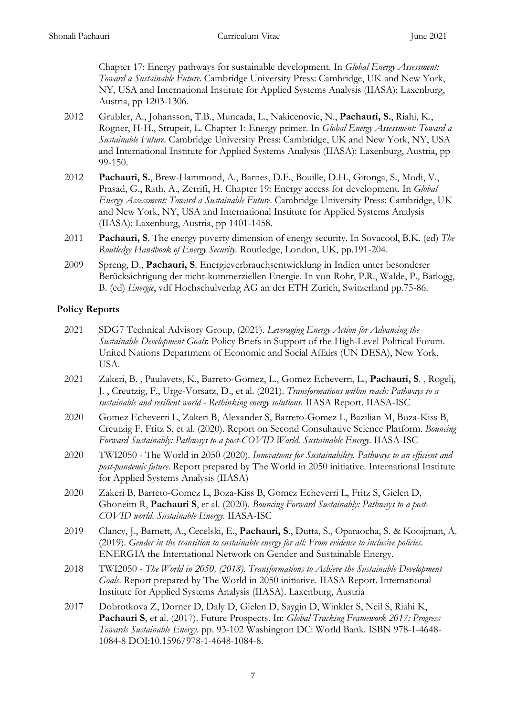Chapter 17: Energy pathways for sustainable development. In *Global Energy Assessment: Toward a Sustainable Future*. Cambridge University Press: Cambridge, UK and New York, NY, USA and International Institute for Applied Systems Analysis (IIASA): Laxenburg, Austria, pp 1203-1306.

- 2012 Grubler, A., Johansson, T.B., Muncada, L., Nakicenovic, N., **Pachauri, S.**, Riahi, K., Rogner, H-H., Strupeit, L. Chapter 1: Energy primer. In *Global Energy Assessment: Toward a Sustainable Future*. Cambridge University Press: Cambridge, UK and New York, NY, USA and International Institute for Applied Systems Analysis (IIASA): Laxenburg, Austria, pp 99-150.
- 2012 **Pachauri, S.**, Brew-Hammond, A., Barnes, D.F., Bouille, D.H., Gitonga, S., Modi, V., Prasad, G., Rath, A., Zerrifi, H. Chapter 19: Energy access for development. In *Global Energy Assessment: Toward a Sustainable Future*. Cambridge University Press: Cambridge, UK and New York, NY, USA and International Institute for Applied Systems Analysis (IIASA): Laxenburg, Austria, pp 1401-1458.
- 2011 **Pachauri, S**. The energy poverty dimension of energy security. In Sovacool, B.K. (ed) *The Routledge Handbook of Energy Security.* Routledge, London, UK, pp.191-204.
- 2009 Spreng, D., **Pachauri, S**. Energieverbrauchsentwicklung in Indien unter besonderer Berücksichtigung der nicht-kommerziellen Energie. In von Rohr, P.R., Walde, P., Batlogg, B. (ed) *Energie*, vdf Hochschulverlag AG an der ETH Zurich, Switzerland pp.75-86.

# **Policy Reports**

- 2021 SDG7 Technical Advisory Group, (2021). *Leveraging Energy Action for Advancing the Sustainable Development Goals*: Policy Briefs in Support of the High-Level Political Forum. United Nations Department of Economic and Social Affairs (UN DESA), New York, USA.
- 2021 Zakeri, B. , Paulavets, K., Barreto-Gomez, L., Gomez Echeverri, L., **Pachauri, S**. , Rogelj, J. , Creutzig, F., Urge-Vorsatz, D., et al. (2021). *Transformations within reach: Pathways to a sustainable and resilient world - Rethinking energy solutions*. IIASA Report. IIASA-ISC
- 2020 Gomez Echeverri L, Zakeri B, Alexander S, Barreto-Gomez L, Bazilian M, Boza-Kiss B, Creutzig F, Fritz S, et al. (2020). Report on Second Consultative Science Platform. *Bouncing Forward Sustainably: Pathways to a post-COVID World. Sustainable Energy*. IIASA-ISC
- 2020 TWI2050 The World in 2050 (2020). *Innovations for Sustainability. Pathways to an efficient and post-pandemic future*. Report prepared by The World in 2050 initiative. International Institute for Applied Systems Analysis (IIASA)
- 2020 Zakeri B, Barreto-Gomez L, Boza-Kiss B, Gomez Echeverri L, Fritz S, Gielen D, Ghoneim R, **Pachauri S**, et al. (2020). *Bouncing Forward Sustainably: Pathways to a post-COVID world. Sustainable Energy*. IIASA-ISC
- 2019 Clancy, J., Barnett, A., Cecelski, E., **Pachauri, S**., Dutta, S., Oparaocha, S. & Kooijman, A. (2019). *Gender in the transition to sustainable energy for all: From evidence to inclusive policies.* ENERGIA the International Network on Gender and Sustainable Energy.
- 2018 TWI2050 *The World in 2050, (2018). Transformations to Achieve the Sustainable Development Goals*. Report prepared by The World in 2050 initiative. IIASA Report. International Institute for Applied Systems Analysis (IIASA). Laxenburg, Austria
- 2017 Dobrotkova Z, Dorner D, Daly D, Gielen D, Saygin D, Winkler S, Neil S, Riahi K, **Pachauri S**, et al. (2017). Future Prospects. In: *Global Tracking Framework 2017: Progress Towards Sustainable Energy*. pp. 93-102 Washington DC: World Bank. ISBN 978-1-4648- 1084-8 DOI:10.1596/978-1-4648-1084-8.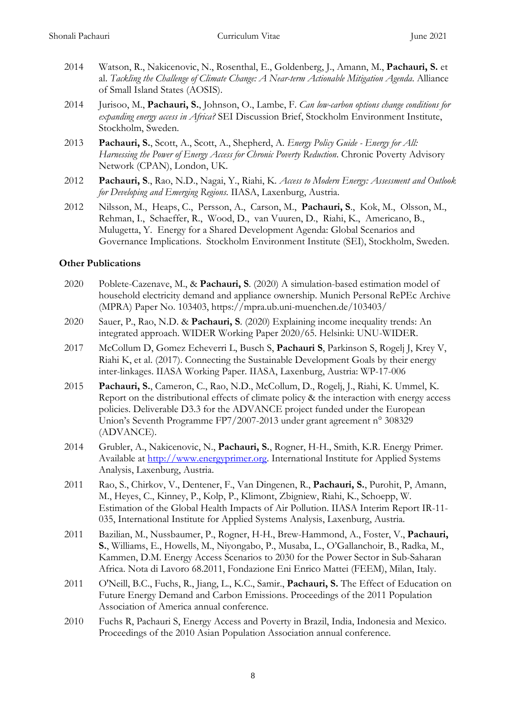- 2014 Watson, R., Nakicenovic, N., Rosenthal, E., Goldenberg, J., Amann, M., **Pachauri, S.** et al. *Tackling the Challenge of Climate Change: A Near-term Actionable Mitigation Agenda*. Alliance of Small Island States (AOSIS).
- 2014 Jurisoo, M., **Pachauri, S.**, Johnson, O., Lambe, F. *Can low-carbon options change conditions for expanding energy access in Africa?* SEI Discussion Brief, Stockholm Environment Institute, Stockholm, Sweden.
- 2013 **Pachauri, S.**, Scott, A., Scott, A., Shepherd, A. *Energy Policy Guide - Energy for All: Harnessing the Power of Energy Access for Chronic Poverty Reduction*. Chronic Poverty Advisory Network (CPAN), London, UK.
- 2012 **Pachauri, S**., Rao, N.D., Nagai, Y., Riahi, K. *Access to Modern Energy: Assessment and Outlook for Developing and Emerging Regions*. IIASA, Laxenburg, Austria.
- 2012 Nilsson, M., Heaps, C., Persson, A., Carson, M., **Pachauri, S**., Kok, M., Olsson, M., Rehman, I., Schaeffer, R., Wood, D., van Vuuren, D., Riahi, K., Americano, B., Mulugetta, Y. Energy for a Shared Development Agenda: Global Scenarios and Governance Implications. Stockholm Environment Institute (SEI), Stockholm, Sweden.

#### **Other Publications**

- 2020 Poblete-Cazenave, M., & **Pachauri, S**. (2020) A simulation-based estimation model of household electricity demand and appliance ownership. Munich Personal RePEc Archive (MPRA) Paper No. 103403, https://mpra.ub.uni-muenchen.de/103403/
- 2020 Sauer, P., Rao, N.D. & **Pachauri, S**. (2020) Explaining income inequality trends: An integrated approach. WIDER Working Paper 2020/65. Helsinki: UNU-WIDER.
- 2017 McCollum D, Gomez Echeverri L, Busch S, **Pachauri S**, Parkinson S, Rogelj J, Krey V, Riahi K, et al. (2017). Connecting the Sustainable Development Goals by their energy inter-linkages. IIASA Working Paper. IIASA, Laxenburg, Austria: WP-17-006
- 2015 **Pachauri, S.**, Cameron, C., Rao, N.D., McCollum, D., Rogelj, J., Riahi, K. Ummel, K. Report on the distributional effects of climate policy & the interaction with energy access policies. Deliverable D3.3 for the ADVANCE project funded under the European Union's Seventh Programme FP7/2007-2013 under grant agreement n° 308329 (ADVANCE).
- 2014 Grubler, A., Nakicenovic, N., **Pachauri, S.**, Rogner, H-H., Smith, K.R. Energy Primer. Available at [http://www.energyprimer.org.](http://www.energyprimer.org/) International Institute for Applied Systems Analysis, Laxenburg, Austria.
- 2011 Rao, S., Chirkov, V., Dentener, F., Van Dingenen, R., **Pachauri, S.**, Purohit, P, Amann, M., Heyes, C., Kinney, P., Kolp, P., Klimont, Zbigniew, Riahi, K., Schoepp, W. Estimation of the Global Health Impacts of Air Pollution. IIASA Interim Report IR-11- 035, International Institute for Applied Systems Analysis, Laxenburg, Austria.
- 2011 Bazilian, M., Nussbaumer, P., Rogner, H-H., Brew-Hammond, A., Foster, V., **Pachauri, S.**, Williams, E., Howells, M., Niyongabo, P., Musaba, L., O'Gallanchoir, B., Radka, M., Kammen, D.M. Energy Access Scenarios to 2030 for the Power Sector in Sub-Saharan Africa. Nota di Lavoro 68.2011, Fondazione Eni Enrico Mattei (FEEM), Milan, Italy.
- 2011 O'Neill, B.C., Fuchs, R., Jiang, L., K.C., Samir., **Pachauri, S.** The Effect of Education on Future Energy Demand and Carbon Emissions. Proceedings of the 2011 Population Association of America annual conference.
- 2010 Fuchs R, Pachauri S, Energy Access and Poverty in Brazil, India, Indonesia and Mexico. Proceedings of the 2010 Asian Population Association annual conference.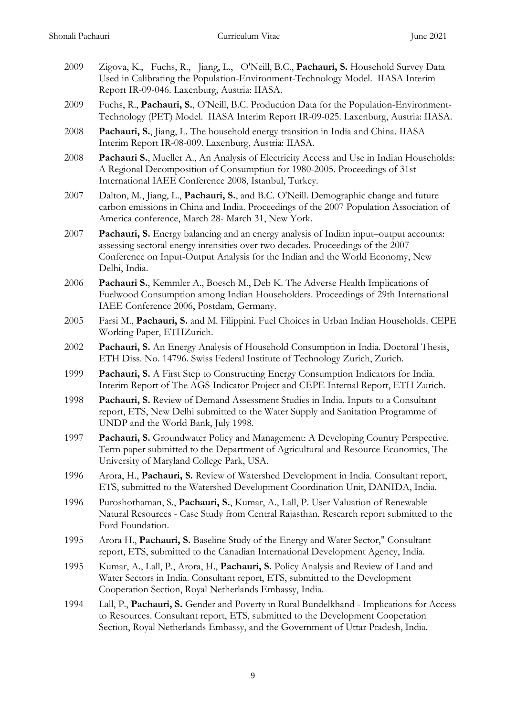- 2009 Zigova, K., Fuchs, R., Jiang, L., O'Neill, B.C., **Pachauri, S.** Household Survey Data Used in Calibrating the Population-Environment-Technology Model. IIASA Interim Report IR-09-046. Laxenburg, Austria: IIASA.
- 2009 Fuchs, R., **Pachauri, S.**, O'Neill, B.C. Production Data for the Population-Environment-Technology (PET) Model. IIASA Interim Report IR-09-025. Laxenburg, Austria: IIASA.
- 2008 **Pachauri, S.**, Jiang, L. The household energy transition in India and China. IIASA Interim Report IR-08-009. Laxenburg, Austria: IIASA.
- 2008 **Pachauri S.**, Mueller A., An Analysis of Electricity Access and Use in Indian Households: A Regional Decomposition of Consumption for 1980-2005. Proceedings of 31st International IAEE Conference 2008, Istanbul, Turkey.
- 2007 Dalton, M., Jiang, L., **Pachauri, S.**, and B.C. O'Neill. Demographic change and future carbon emissions in China and India. Proceedings of the 2007 Population Association of America conference, March 28- March 31, New York.
- 2007 **Pachauri, S.** Energy balancing and an energy analysis of Indian input–output accounts: assessing sectoral energy intensities over two decades. Proceedings of the 2007 Conference on Input-Output Analysis for the Indian and the World Economy, New Delhi, India.
- 2006 **Pachauri S.**, Kemmler A., Boesch M., Deb K. The Adverse Health Implications of Fuelwood Consumption among Indian Householders. Proceedings of 29th International IAEE Conference 2006, Postdam, Germany.
- 2005 Farsi M., **Pachauri, S.** and M. Filippini. Fuel Choices in Urban Indian Households. CEPE Working Paper, ETHZurich.
- 2002 **Pachauri, S.** An Energy Analysis of Household Consumption in India. Doctoral Thesis, ETH Diss. No. 14796. Swiss Federal Institute of Technology Zurich, Zurich.
- 1999 **Pachauri, S.** A First Step to Constructing Energy Consumption Indicators for India. Interim Report of The AGS Indicator Project and CEPE Internal Report, ETH Zurich.
- 1998 **Pachauri, S.** Review of Demand Assessment Studies in India. Inputs to a Consultant report, ETS, New Delhi submitted to the Water Supply and Sanitation Programme of UNDP and the World Bank, July 1998.
- 1997 **Pachauri, S.** Groundwater Policy and Management: A Developing Country Perspective. Term paper submitted to the Department of Agricultural and Resource Economics, The University of Maryland College Park, USA.
- 1996 Arora, H., **Pachauri, S.** Review of Watershed Development in India. Consultant report, ETS, submitted to the Watershed Development Coordination Unit, DANIDA, India.
- 1996 Puroshothaman, S., **Pachauri, S.**, Kumar, A., Lall, P. User Valuation of Renewable Natural Resources - Case Study from Central Rajasthan. Research report submitted to the Ford Foundation.
- 1995 Arora H., **Pachauri, S.** Baseline Study of the Energy and Water Sector," Consultant report, ETS, submitted to the Canadian International Development Agency, India.
- 1995 Kumar, A., Lall, P., Arora, H., **Pachauri, S.** Policy Analysis and Review of Land and Water Sectors in India. Consultant report, ETS, submitted to the Development Cooperation Section, Royal Netherlands Embassy, India.
- 1994 Lall, P., **Pachauri, S.** Gender and Poverty in Rural Bundelkhand Implications for Access to Resources. Consultant report, ETS, submitted to the Development Cooperation Section, Royal Netherlands Embassy, and the Government of Uttar Pradesh, India.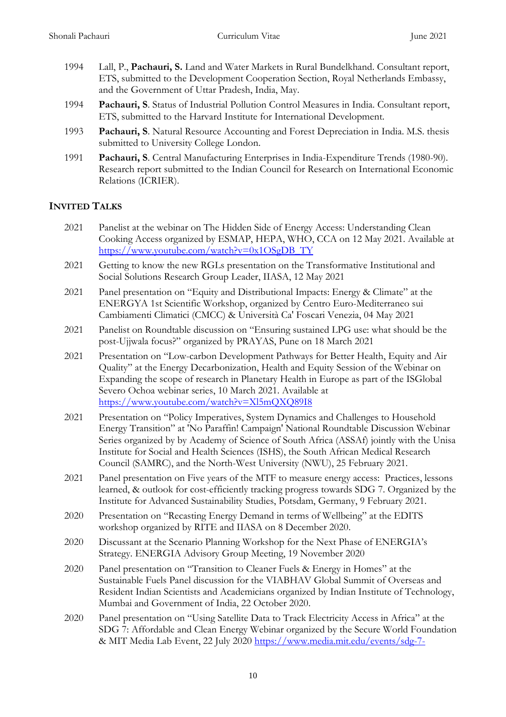- 1994 Lall, P., **Pachauri, S.** Land and Water Markets in Rural Bundelkhand. Consultant report, ETS, submitted to the Development Cooperation Section, Royal Netherlands Embassy, and the Government of Uttar Pradesh, India, May.
- 1994 **Pachauri, S**. Status of Industrial Pollution Control Measures in India. Consultant report, ETS, submitted to the Harvard Institute for International Development.
- 1993 **Pachauri, S**. Natural Resource Accounting and Forest Depreciation in India. M.S. thesis submitted to University College London.
- 1991 **Pachauri, S**. Central Manufacturing Enterprises in India-Expenditure Trends (1980-90). Research report submitted to the Indian Council for Research on International Economic Relations (ICRIER).

# **INVITED TALKS**

- 2021 Panelist at the webinar on The Hidden Side of Energy Access: Understanding Clean Cooking Access organized by ESMAP, HEPA, WHO, CCA on 12 May 2021. Available at [https://www.youtube.com/watch?v=0x1OSgDB\\_TY](https://www.youtube.com/watch?v=0x1OSgDB_TY)
- 2021 Getting to know the new RGLs presentation on the Transformative Institutional and Social Solutions Research Group Leader, IIASA, 12 May 2021
- 2021 Panel presentation on "Equity and Distributional Impacts: Energy & Climate" at the ENERGYA 1st Scientific Workshop, organized by Centro Euro-Mediterraneo sui Cambiamenti Climatici (CMCC) & Università Ca' Foscari Venezia, 04 May 2021
- 2021 Panelist on Roundtable discussion on "Ensuring sustained LPG use: what should be the post-Ujjwala focus?" organized by PRAYAS, Pune on 18 March 2021
- 2021 Presentation on "Low-carbon Development Pathways for Better Health, Equity and Air Quality" at the Energy Decarbonization, Health and Equity Session of the Webinar on Expanding the scope of research in Planetary Health in Europe as part of the ISGlobal Severo Ochoa webinar series, 10 March 2021. Available at <https://www.youtube.com/watch?v=Xl5mQXQ89I8>
- 2021 Presentation on "Policy Imperatives, System Dynamics and Challenges to Household Energy Transition" at 'No Paraffin! Campaign' National Roundtable Discussion Webinar Series organized by by Academy of Science of South Africa (ASSAf) jointly with the Unisa Institute for Social and Health Sciences (ISHS), the South African Medical Research Council (SAMRC), and the North-West University (NWU), 25 February 2021.
- 2021 Panel presentation on Five years of the MTF to measure energy access: Practices, lessons learned, & outlook for cost-efficiently tracking progress towards SDG 7. Organized by the Institute for Advanced Sustainability Studies, Potsdam, Germany, 9 February 2021.
- 2020 Presentation on "Recasting Energy Demand in terms of Wellbeing" at the EDITS workshop organized by RITE and IIASA on 8 December 2020.
- 2020 Discussant at the Scenario Planning Workshop for the Next Phase of ENERGIA's Strategy. ENERGIA Advisory Group Meeting, 19 November 2020
- 2020 Panel presentation on "Transition to Cleaner Fuels & Energy in Homes" at the Sustainable Fuels Panel discussion for the VIABHAV Global Summit of Overseas and Resident Indian Scientists and Academicians organized by Indian Institute of Technology, Mumbai and Government of India, 22 October 2020.
- 2020 Panel presentation on "Using Satellite Data to Track Electricity Access in Africa" at the SDG 7: Affordable and Clean Energy Webinar organized by the Secure World Foundation & MIT Media Lab Event, 22 July 2020 [https://www.media.mit.edu/events/sdg-7-](https://www.media.mit.edu/events/sdg-7-affordable-and-clean-energy/)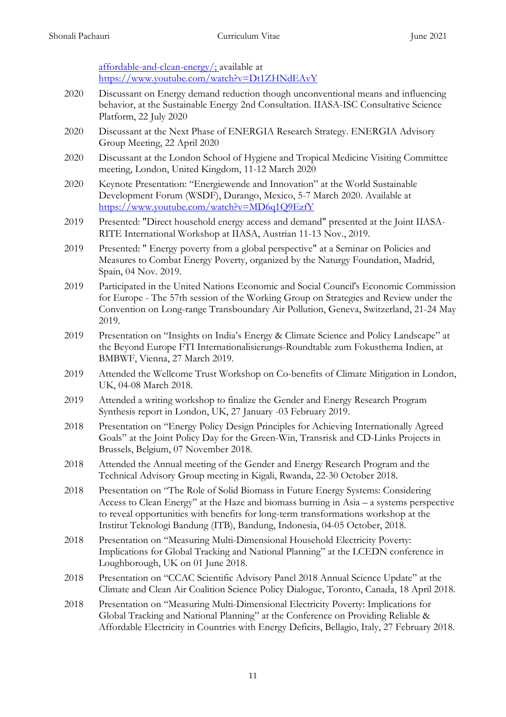[affordable-and-clean-energy/;](https://www.media.mit.edu/events/sdg-7-affordable-and-clean-energy/) available at https://www.youtube.com/watch?v=Dt1ZHNdEAvY

- 2020 Discussant on Energy demand reduction though unconventional means and influencing behavior, at the Sustainable Energy 2nd Consultation. IIASA-ISC Consultative Science Platform, 22 July 2020
- 2020 Discussant at the Next Phase of ENERGIA Research Strategy. ENERGIA Advisory Group Meeting, 22 April 2020
- 2020 Discussant at the London School of Hygiene and Tropical Medicine Visiting Committee meeting, London, United Kingdom, 11-12 March 2020
- 2020 Keynote Presentation: "Energiewende and Innovation" at the World Sustainable Development Forum (WSDF), Durango, Mexico, 5-7 March 2020. Available at <https://www.youtube.com/watch?v=MD6q1Q9EzfY>
- 2019 Presented: "Direct household energy access and demand" presented at the Joint IIASA-RITE International Workshop at IIASA, Austrian 11-13 Nov., 2019.
- 2019 Presented: " Energy poverty from a global perspective" at a Seminar on Policies and Measures to Combat Energy Poverty, organized by the Naturgy Foundation, Madrid, Spain, 04 Nov. 2019.
- 2019 Participated in the United Nations Economic and Social Council's Economic Commission for Europe - The 57th session of the Working Group on Strategies and Review under the Convention on Long-range Transboundary Air Pollution, Geneva, Switzerland, 21-24 May 2019.
- 2019 Presentation on "Insights on India's Energy & Climate Science and Policy Landscape" at the Beyond Europe FTI Internationalisierungs-Roundtable zum Fokusthema Indien, at BMBWF, Vienna, 27 March 2019.
- 2019 Attended the Wellcome Trust Workshop on Co-benefits of Climate Mitigation in London, UK, 04-08 March 2018.
- 2019 Attended a writing workshop to finalize the Gender and Energy Research Program Synthesis report in London, UK, 27 January -03 February 2019.
- 2018 Presentation on "Energy Policy Design Principles for Achieving Internationally Agreed Goals" at the Joint Policy Day for the Green-Win, Transrisk and CD-Links Projects in Brussels, Belgium, 07 November 2018.
- 2018 Attended the Annual meeting of the Gender and Energy Research Program and the Technical Advisory Group meeting in Kigali, Rwanda, 22-30 October 2018.
- 2018 Presentation on "The Role of Solid Biomass in Future Energy Systems: Considering Access to Clean Energy" at the Haze and biomass burning in Asia – a systems perspective to reveal opportunities with benefits for long-term transformations workshop at the Institut Teknologi Bandung (ITB), Bandung, Indonesia, 04-05 October, 2018.
- 2018 Presentation on "Measuring Multi-Dimensional Household Electricity Poverty: Implications for Global Tracking and National Planning" at the LCEDN conference in Loughborough, UK on 01 June 2018.
- 2018 Presentation on "CCAC Scientific Advisory Panel 2018 Annual Science Update" at the Climate and Clean Air Coalition Science Policy Dialogue, Toronto, Canada, 18 April 2018.
- 2018 Presentation on "Measuring Multi-Dimensional Electricity Poverty: Implications for Global Tracking and National Planning" at the Conference on Providing Reliable & Affordable Electricity in Countries with Energy Deficits, Bellagio, Italy, 27 February 2018.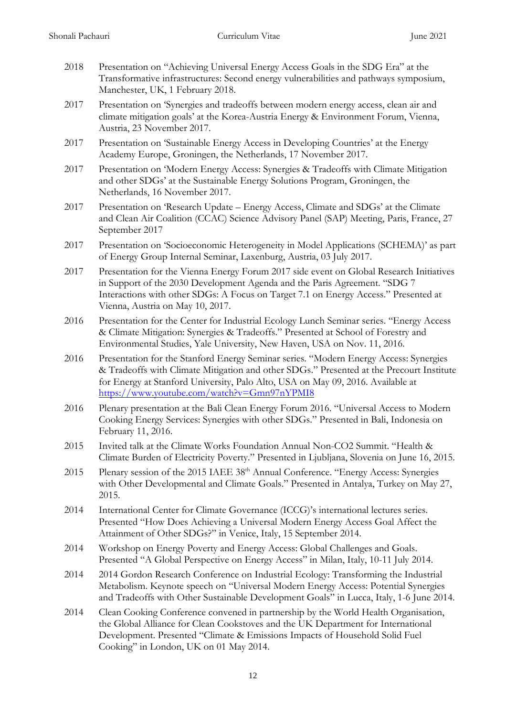- 2018 Presentation on "Achieving Universal Energy Access Goals in the SDG Era" at the Transformative infrastructures: Second energy vulnerabilities and pathways symposium, Manchester, UK, 1 February 2018.
- 2017 Presentation on 'Synergies and tradeoffs between modern energy access, clean air and climate mitigation goals' at the Korea-Austria Energy & Environment Forum, Vienna, Austria, 23 November 2017.
- 2017 Presentation on 'Sustainable Energy Access in Developing Countries' at the Energy Academy Europe, Groningen, the Netherlands, 17 November 2017.
- 2017 Presentation on 'Modern Energy Access: Synergies & Tradeoffs with Climate Mitigation and other SDGs' at the Sustainable Energy Solutions Program, Groningen, the Netherlands, 16 November 2017.
- 2017 Presentation on 'Research Update Energy Access, Climate and SDGs' at the Climate and Clean Air Coalition (CCAC) Science Advisory Panel (SAP) Meeting, Paris, France, 27 September 2017
- 2017 Presentation on 'Socioeconomic Heterogeneity in Model Applications (SCHEMA)' as part of Energy Group Internal Seminar, Laxenburg, Austria, 03 July 2017.
- 2017 Presentation for the Vienna Energy Forum 2017 side event on Global Research Initiatives in Support of the 2030 Development Agenda and the Paris Agreement. "SDG 7 Interactions with other SDGs: A Focus on Target 7.1 on Energy Access." Presented at Vienna, Austria on May 10, 2017.
- 2016 Presentation for the Center for Industrial Ecology Lunch Seminar series. "Energy Access & Climate Mitigation: Synergies & Tradeoffs." Presented at School of Forestry and Environmental Studies, Yale University, New Haven, USA on Nov. 11, 2016.
- 2016 Presentation for the Stanford Energy Seminar series. "Modern Energy Access: Synergies & Tradeoffs with Climate Mitigation and other SDGs." Presented at the Precourt Institute for Energy at Stanford University, Palo Alto, USA on May 09, 2016. Available at <https://www.youtube.com/watch?v=Gmn97nYPMI8>
- 2016 Plenary presentation at the Bali Clean Energy Forum 2016. "Universal Access to Modern Cooking Energy Services: Synergies with other SDGs." Presented in Bali, Indonesia on February 11, 2016.
- 2015 Invited talk at the Climate Works Foundation Annual Non-CO2 Summit. "Health & Climate Burden of Electricity Poverty." Presented in Ljubljana, Slovenia on June 16, 2015.
- 2015 Plenary session of the 2015 IAEE 38<sup>th</sup> Annual Conference. "Energy Access: Synergies with Other Developmental and Climate Goals." Presented in Antalya, Turkey on May 27, 2015.
- 2014 International Center for Climate Governance (ICCG)'s international lectures series. Presented "How Does Achieving a Universal Modern Energy Access Goal Affect the Attainment of Other SDGs?" in Venice, Italy, 15 September 2014.
- 2014 Workshop on Energy Poverty and Energy Access: Global Challenges and Goals. Presented "A Global Perspective on Energy Access" in Milan, Italy, 10-11 July 2014.
- 2014 2014 Gordon Research Conference on Industrial Ecology: Transforming the Industrial Metabolism. Keynote speech on "Universal Modern Energy Access: Potential Synergies and Tradeoffs with Other Sustainable Development Goals" in Lucca, Italy, 1-6 June 2014.
- 2014 Clean Cooking Conference convened in partnership by the World Health Organisation, the Global Alliance for Clean Cookstoves and the UK Department for International Development. Presented "Climate & Emissions Impacts of Household Solid Fuel Cooking" in London, UK on 01 May 2014.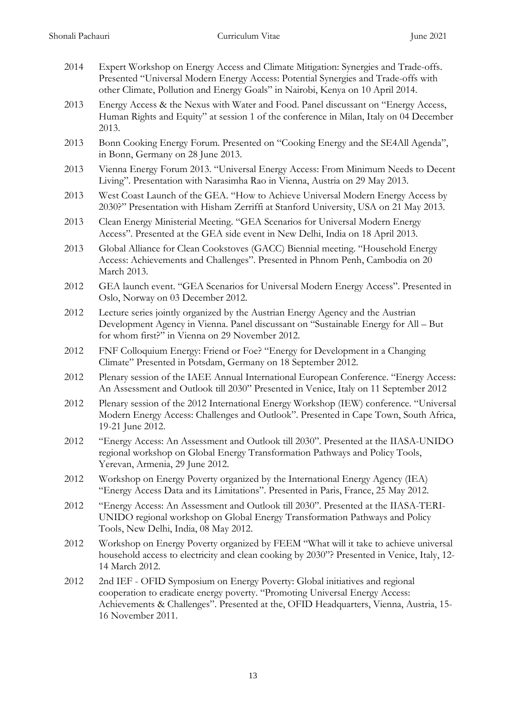| 2014          | Expert Workshop on Energy Access and Climate Mitigation: Synergies and Trade-offs.<br>Presented "Universal Modern Energy Access: Potential Synergies and Trade-offs with<br>other Climate, Pollution and Energy Goals" in Nairobi, Kenya on 10 April 2014. |
|---------------|------------------------------------------------------------------------------------------------------------------------------------------------------------------------------------------------------------------------------------------------------------|
| 2013          | Energy Access & the Nexus with Water and Food. Panel discussant on "Energy Access,<br>Human Rights and Equity" at session 1 of the conference in Milan, Italy on 04 December<br>2013.                                                                      |
| 2013          | Bonn Cooking Energy Forum. Presented on "Cooking Energy and the SE4All Agenda",<br>in Bonn, Germany on 28 June 2013.                                                                                                                                       |
| 2013          | Vienna Energy Forum 2013. "Universal Energy Access: From Minimum Needs to Decent<br>Living". Presentation with Narasimha Rao in Vienna, Austria on 29 May 2013.                                                                                            |
| 2013          | West Coast Launch of the GEA. "How to Achieve Universal Modern Energy Access by<br>2030?" Presentation with Hisham Zerriffi at Stanford University, USA on 21 May 2013.                                                                                    |
| 2013          | Clean Energy Ministerial Meeting. "GEA Scenarios for Universal Modern Energy<br>Access". Presented at the GEA side event in New Delhi, India on 18 April 2013.                                                                                             |
| 2013          | Global Alliance for Clean Cookstoves (GACC) Biennial meeting. "Household Energy<br>Access: Achievements and Challenges". Presented in Phnom Penh, Cambodia on 20<br>March 2013.                                                                            |
| 2012          | GEA launch event. "GEA Scenarios for Universal Modern Energy Access". Presented in<br>Oslo, Norway on 03 December 2012.                                                                                                                                    |
| 2012          | Lecture series jointly organized by the Austrian Energy Agency and the Austrian<br>Development Agency in Vienna. Panel discussant on "Sustainable Energy for All - But<br>for whom first?" in Vienna on 29 November 2012.                                  |
| 2012          | FNF Colloquium Energy: Friend or Foe? "Energy for Development in a Changing<br>Climate" Presented in Potsdam, Germany on 18 September 2012.                                                                                                                |
| 2012          | Plenary session of the IAEE Annual International European Conference. "Energy Access:<br>An Assessment and Outlook till 2030" Presented in Venice, Italy on 11 September 2012                                                                              |
| 2012          | Plenary session of the 2012 International Energy Workshop (IEW) conference. "Universal<br>Modern Energy Access: Challenges and Outlook". Presented in Cape Town, South Africa,<br>19-21 June 2012.                                                         |
| 2012          | "Energy Access: An Assessment and Outlook till 2030". Presented at the IIASA-UNIDO<br>regional workshop on Global Energy Transformation Pathways and Policy Tools,<br>Yerevan, Armenia, 29 June 2012.                                                      |
| 2012          | Workshop on Energy Poverty organized by the International Energy Agency (IEA)<br>"Energy Access Data and its Limitations". Presented in Paris, France, 25 May 2012.                                                                                        |
| 2012          | "Energy Access: An Assessment and Outlook till 2030". Presented at the IIASA-TERI-<br>UNIDO regional workshop on Global Energy Transformation Pathways and Policy<br>Tools, New Delhi, India, 08 May 2012.                                                 |
| 2012          | Workshop on Energy Poverty organized by FEEM "What will it take to achieve universal<br>household access to electricity and clean cooking by 2030"? Presented in Venice, Italy, 12-<br>14 March 2012.                                                      |
| $\bigcap$ 1.0 | 1 JEE - OEID-C                                                                                                                                                                                                                                             |

2012 2nd IEF - OFID Symposium on Energy Poverty: Global initiatives and regional cooperation to eradicate energy poverty. "Promoting Universal Energy Access: Achievements & Challenges". Presented at the, OFID Headquarters, Vienna, Austria, 15- 16 November 2011.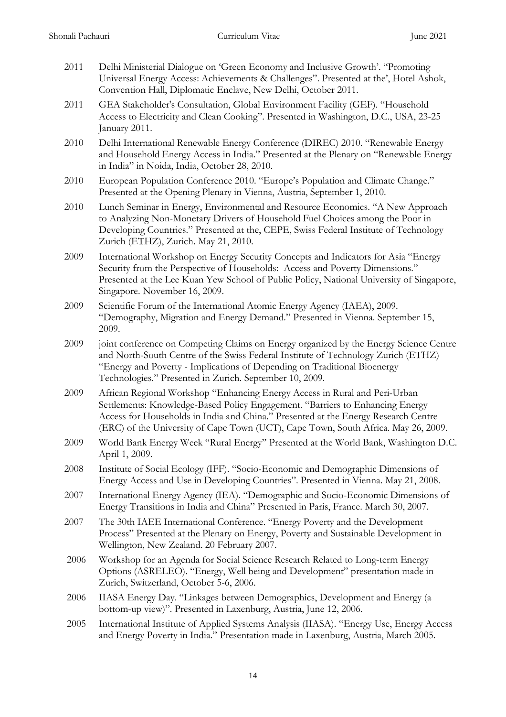- 2011 Delhi Ministerial Dialogue on 'Green Economy and Inclusive Growth'. "Promoting Universal Energy Access: Achievements & Challenges". Presented at the', Hotel Ashok, Convention Hall, Diplomatic Enclave, New Delhi, October 2011.
- 2011 GEA Stakeholder's Consultation, Global Environment Facility (GEF). "Household Access to Electricity and Clean Cooking". Presented in Washington, D.C., USA, 23-25 January 2011.
- 2010 Delhi International Renewable Energy Conference (DIREC) 2010. "Renewable Energy and Household Energy Access in India." Presented at the Plenary on "Renewable Energy in India" in Noida, India, October 28, 2010.
- 2010 European Population Conference 2010. "Europe's Population and Climate Change." Presented at the Opening Plenary in Vienna, Austria, September 1, 2010.
- 2010 Lunch Seminar in Energy, Environmental and Resource Economics. "A New Approach to Analyzing Non-Monetary Drivers of Household Fuel Choices among the Poor in Developing Countries." Presented at the, CEPE, Swiss Federal Institute of Technology Zurich (ETHZ), Zurich. May 21, 2010.
- 2009 International Workshop on Energy Security Concepts and Indicators for Asia "Energy Security from the Perspective of Households: Access and Poverty Dimensions." Presented at the Lee Kuan Yew School of Public Policy, National University of Singapore, Singapore. November 16, 2009.
- 2009 Scientific Forum of the International Atomic Energy Agency (IAEA), 2009. "Demography, Migration and Energy Demand." Presented in Vienna. September 15, 2009.
- 2009 joint conference on Competing Claims on Energy organized by the Energy Science Centre and North-South Centre of the Swiss Federal Institute of Technology Zurich (ETHZ) "Energy and Poverty - Implications of Depending on Traditional Bioenergy Technologies." Presented in Zurich. September 10, 2009.
- 2009 African Regional Workshop "Enhancing Energy Access in Rural and Peri-Urban Settlements: Knowledge-Based Policy Engagement. "Barriers to Enhancing Energy Access for Households in India and China." Presented at the Energy Research Centre (ERC) of the University of Cape Town (UCT), Cape Town, South Africa. May 26, 2009.
- 2009 World Bank Energy Week "Rural Energy" Presented at the World Bank, Washington D.C. April 1, 2009.
- 2008 Institute of Social Ecology (IFF). "Socio-Economic and Demographic Dimensions of Energy Access and Use in Developing Countries". Presented in Vienna. May 21, 2008.
- 2007 International Energy Agency (IEA). "Demographic and Socio-Economic Dimensions of Energy Transitions in India and China" Presented in Paris, France. March 30, 2007.
- 2007 The 30th IAEE International Conference. "Energy Poverty and the Development Process" Presented at the Plenary on Energy, Poverty and Sustainable Development in Wellington, New Zealand. 20 February 2007.
- 2006 Workshop for an Agenda for Social Science Research Related to Long-term Energy Options (ASRELEO). "Energy, Well being and Development" presentation made in Zurich, Switzerland, October 5-6, 2006.
- 2006 IIASA Energy Day. "Linkages between Demographics, Development and Energy (a bottom-up view)". Presented in Laxenburg, Austria, June 12, 2006.
- 2005 International Institute of Applied Systems Analysis (IIASA). "Energy Use, Energy Access and Energy Poverty in India." Presentation made in Laxenburg, Austria, March 2005.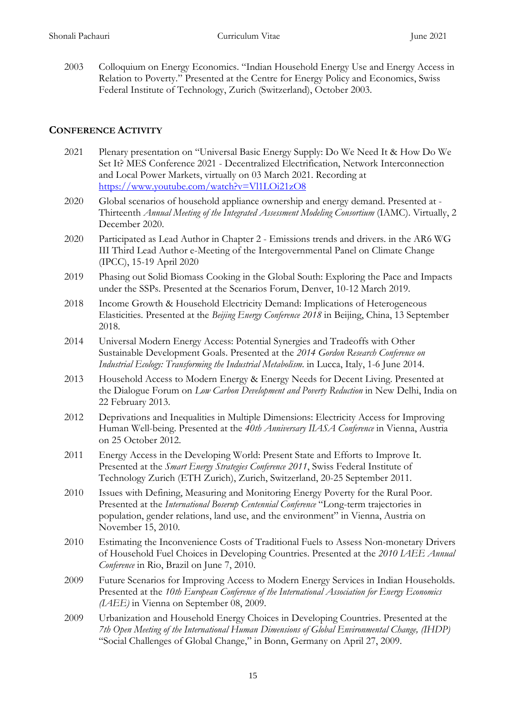2003 Colloquium on Energy Economics. "Indian Household Energy Use and Energy Access in Relation to Poverty." Presented at the Centre for Energy Policy and Economics, Swiss Federal Institute of Technology, Zurich (Switzerland), October 2003.

# **CONFERENCE ACTIVITY**

- 2021 Plenary presentation on "Universal Basic Energy Supply: Do We Need It & How Do We Set It? MES Conference 2021 - Decentralized Electrification, Network Interconnection and Local Power Markets, virtually on 03 March 2021. Recording at <https://www.youtube.com/watch?v=Vl1LOi21zO8>
- 2020 Global scenarios of household appliance ownership and energy demand. Presented at Thirteenth *Annual Meeting of the Integrated Assessment Modeling Consortium* (IAMC). Virtually, 2 December 2020.
- 2020 Participated as Lead Author in Chapter 2 Emissions trends and drivers. in the AR6 WG III Third Lead Author e-Meeting of the Intergovernmental Panel on Climate Change (IPCC), 15-19 April 2020
- 2019 Phasing out Solid Biomass Cooking in the Global South: Exploring the Pace and Impacts under the SSPs. Presented at the Scenarios Forum, Denver, 10-12 March 2019.
- 2018 Income Growth & Household Electricity Demand: Implications of Heterogeneous Elasticities. Presented at the *Beijing Energy Conference 2018* in Beijing, China, 13 September 2018.
- 2014 Universal Modern Energy Access: Potential Synergies and Tradeoffs with Other Sustainable Development Goals. Presented at the *2014 Gordon Research Conference on Industrial Ecology: Transforming the Industrial Metabolism*. in Lucca, Italy, 1-6 June 2014.
- 2013 Household Access to Modern Energy & Energy Needs for Decent Living. Presented at the Dialogue Forum on *Low Carbon Development and Poverty Reduction* in New Delhi, India on 22 February 2013.
- 2012 Deprivations and Inequalities in Multiple Dimensions: Electricity Access for Improving Human Well-being. Presented at the *40th Anniversary IIASA Conference* in Vienna, Austria on 25 October 2012.
- 2011 Energy Access in the Developing World: Present State and Efforts to Improve It. Presented at the *Smart Energy Strategies Conference 2011*, Swiss Federal Institute of Technology Zurich (ETH Zurich), Zurich, Switzerland, 20-25 September 2011.
- 2010 Issues with Defining, Measuring and Monitoring Energy Poverty for the Rural Poor. Presented at the *International Boserup Centennial Conference* "Long-term trajectories in population, gender relations, land use, and the environment" in Vienna, Austria on November 15, 2010.
- 2010 Estimating the Inconvenience Costs of Traditional Fuels to Assess Non-monetary Drivers of Household Fuel Choices in Developing Countries. Presented at the *2010 IAEE Annual Conference* in Rio, Brazil on June 7, 2010.
- 2009 Future Scenarios for Improving Access to Modern Energy Services in Indian Households. Presented at the *10th European Conference of the International Association for Energy Economics (IAEE)* in Vienna on September 08, 2009.
- 2009 Urbanization and Household Energy Choices in Developing Countries. Presented at the *7th Open Meeting of the International Human Dimensions of Global Environmental Change, (IHDP)* "Social Challenges of Global Change," in Bonn, Germany on April 27, 2009.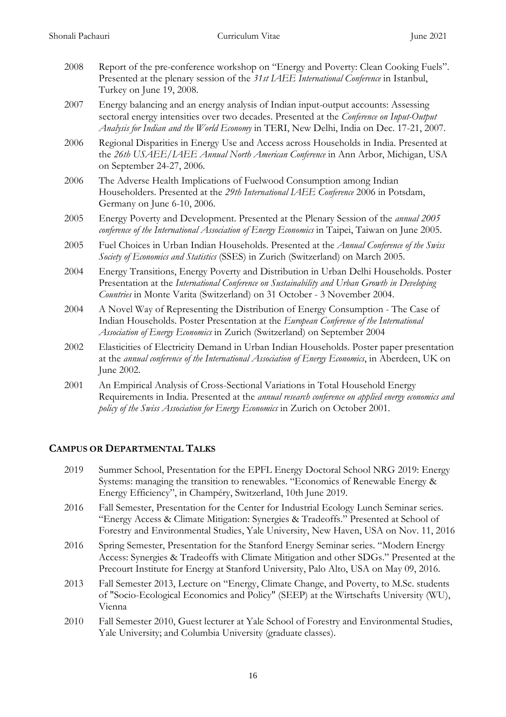- 2008 Report of the pre-conference workshop on "Energy and Poverty: Clean Cooking Fuels". Presented at the plenary session of the *31st IAEE International Conference* in Istanbul, Turkey on June 19, 2008.
- 2007 Energy balancing and an energy analysis of Indian input-output accounts: Assessing sectoral energy intensities over two decades. Presented at the *Conference on Input-Output Analysis for Indian and the World Economy* in TERI, New Delhi, India on Dec. 17-21, 2007.
- 2006 Regional Disparities in Energy Use and Access across Households in India. Presented at the *26th USAEE/IAEE Annual North American Conference* in Ann Arbor, Michigan, USA on September 24-27, 2006.
- 2006 The Adverse Health Implications of Fuelwood Consumption among Indian Householders. Presented at the *29th International IAEE Conference* 2006 in Potsdam, Germany on June 6-10, 2006.
- 2005 Energy Poverty and Development. Presented at the Plenary Session of the *annual 2005 conference of the International Association of Energy Economics* in Taipei, Taiwan on June 2005.
- 2005 Fuel Choices in Urban Indian Households. Presented at the *Annual Conference of the Swiss Society of Economics and Statistics* (SSES) in Zurich (Switzerland) on March 2005.
- 2004 Energy Transitions, Energy Poverty and Distribution in Urban Delhi Households. Poster Presentation at the *International Conference on Sustainability and Urban Growth in Developing Countries* in Monte Varita (Switzerland) on 31 October - 3 November 2004.
- 2004 A Novel Way of Representing the Distribution of Energy Consumption The Case of Indian Households. Poster Presentation at the *European Conference of the International Association of Energy Economics* in Zurich (Switzerland) on September 2004
- 2002 Elasticities of Electricity Demand in Urban Indian Households. Poster paper presentation at the *annual conference of the International Association of Energy Economics*, in Aberdeen, UK on June 2002.
- 2001 An Empirical Analysis of Cross-Sectional Variations in Total Household Energy Requirements in India. Presented at the *annual research conference on applied energy economics and policy of the Swiss Association for Energy Economics* in Zurich on October 2001.

# **CAMPUS OR DEPARTMENTAL TALKS**

- 2019 Summer School, Presentation for the EPFL Energy Doctoral School NRG 2019: Energy Systems: managing the transition to renewables. "Economics of Renewable Energy & Energy Efficiency", in Champéry, Switzerland, 10th June 2019.
- 2016 Fall Semester, Presentation for the Center for Industrial Ecology Lunch Seminar series. "Energy Access & Climate Mitigation: Synergies & Tradeoffs." Presented at School of Forestry and Environmental Studies, Yale University, New Haven, USA on Nov. 11, 2016
- 2016 Spring Semester, Presentation for the Stanford Energy Seminar series. "Modern Energy Access: Synergies & Tradeoffs with Climate Mitigation and other SDGs." Presented at the Precourt Institute for Energy at Stanford University, Palo Alto, USA on May 09, 2016.
- 2013 Fall Semester 2013, Lecture on "Energy, Climate Change, and Poverty, to M.Sc. students of "Socio-Ecological Economics and Policy" (SEEP) at the Wirtschafts University (WU), Vienna
- 2010 Fall Semester 2010, Guest lecturer at Yale School of Forestry and Environmental Studies, Yale University; and Columbia University (graduate classes).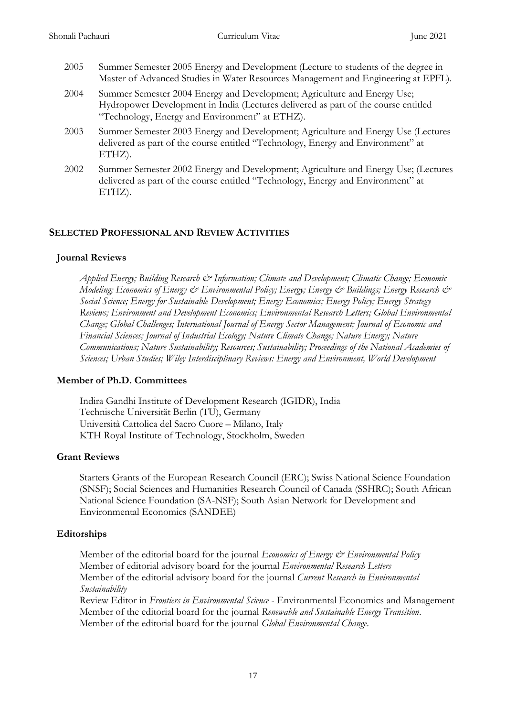- 2005 Summer Semester 2005 Energy and Development (Lecture to students of the degree in Master of Advanced Studies in Water Resources Management and Engineering at EPFL).
- 2004 Summer Semester 2004 Energy and Development; Agriculture and Energy Use; Hydropower Development in India (Lectures delivered as part of the course entitled "Technology, Energy and Environment" at ETHZ).
- 2003 Summer Semester 2003 Energy and Development; Agriculture and Energy Use (Lectures delivered as part of the course entitled "Technology, Energy and Environment" at ETHZ).
- 2002 Summer Semester 2002 Energy and Development; Agriculture and Energy Use; (Lectures delivered as part of the course entitled "Technology, Energy and Environment" at ETHZ).

# **SELECTED PROFESSIONAL AND REVIEW ACTIVITIES**

#### **Journal Reviews**

*Applied Energy; Building Research & Information; Climate and Development; Climatic Change; Economic Modeling; Economics of Energy & Environmental Policy; Energy; Energy & Buildings; Energy Research & Social Science; Energy for Sustainable Development; Energy Economics; Energy Policy; Energy Strategy Reviews; Environment and Development Economics; Environmental Research Letters; Global Environmental Change; Global Challenges; International Journal of Energy Sector Management; Journal of Economic and Financial Sciences; Journal of Industrial Ecology; Nature Climate Change; Nature Energy; Nature Communications; Nature Sustainability; Resources; Sustainability; Proceedings of the National Academies of Sciences; Urban Studies; Wiley Interdisciplinary Reviews: Energy and Environment, World Development*

# **Member of Ph.D. Committees**

Indira Gandhi Institute of Development Research (IGIDR), India Technische Universität Berlin (TU), Germany Università Cattolica del Sacro Cuore – Milano, Italy KTH Royal Institute of Technology, Stockholm, Sweden

# **Grant Reviews**

Starters Grants of the European Research Council (ERC); Swiss National Science Foundation (SNSF); Social Sciences and Humanities Research Council of Canada (SSHRC); South African National Science Foundation (SA-NSF); South Asian Network for Development and Environmental Economics (SANDEE)

# **Editorships**

Member of the editorial board for the journal *Economics of Energy & Environmental Policy* Member of editorial advisory board for the journal *Environmental Research Letters* Member of the editorial advisory board for the journal *Current Research in Environmental Sustainability*

Review Editor in *Frontiers in Environmental Science* - Environmental Economics and Management Member of the editorial board for the journal *Renewable and Sustainable Energy Transition*. Member of the editorial board for the journal *Global Environmental Change*.